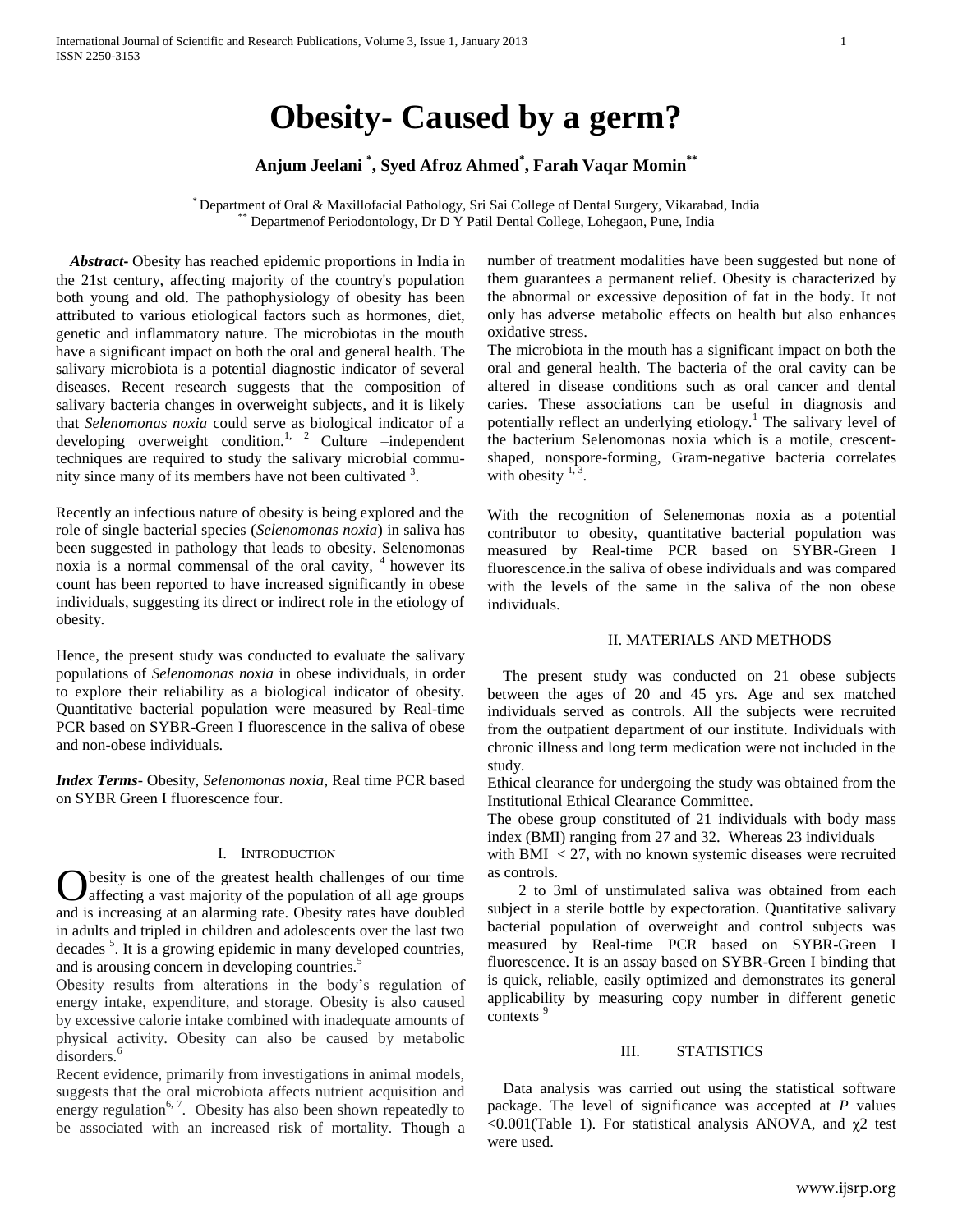# **Obesity- Caused by a germ?**

## **Anjum Jeelani \* , Syed Afroz Ahmed\* , Farah Vaqar Momin\*\***

\* Department of Oral & Maxillofacial Pathology, Sri Sai College of Dental Surgery, Vikarabad, India Departmenof Periodontology, Dr D Y Patil Dental College, Lohegaon, Pune, India

 *Abstract***-** Obesity has reached epidemic proportions in India in the 21st century, affecting majority of the country's population both young and old. The pathophysiology of obesity has been attributed to various etiological factors such as hormones, diet, genetic and inflammatory nature. The microbiotas in the mouth have a significant impact on both the oral and general health. The salivary microbiota is a potential diagnostic indicator of several diseases. Recent research suggests that the composition of salivary bacteria changes in overweight subjects, and it is likely that *Selenomonas noxia* could serve as biological indicator of a developing overweight condition.<sup>1, 2</sup> Culture –independent techniques are required to study the salivary microbial community since many of its members have not been cultivated <sup>3</sup>.

Recently an infectious nature of obesity is being explored and the role of single bacterial species (*Selenomonas noxia*) in saliva has been suggested in pathology that leads to obesity. Selenomonas noxia is a normal commensal of the oral cavity, <sup>4</sup> however its count has been reported to have increased significantly in obese individuals, suggesting its direct or indirect role in the etiology of obesity.

Hence, the present study was conducted to evaluate the salivary populations of *Selenomonas noxia* in obese individuals, in order to explore their reliability as a biological indicator of obesity. Quantitative bacterial population were measured by Real-time PCR based on SYBR-Green I fluorescence in the saliva of obese and non-obese individuals.

*Index Terms*- Obesity, *Selenomonas noxia*, Real time PCR based on SYBR Green I fluorescence four.

## I. INTRODUCTION

besity is one of the greatest health challenges of our time affecting a vast majority of the population of all age groups **C** besity is one of the greatest health challenges of our time affecting a vast majority of the population of all age groups and is increasing at an alarming rate. Obesity rates have doubled in adults and tripled in children and adolescents over the last two decades <sup>5</sup>. It is a growing epidemic in many developed countries, and is arousing concern in developing countries.<sup>5</sup>

Obesity results from alterations in the body's regulation of energy intake, expenditure, and storage. Obesity is also caused by excessive calorie intake combined with inadequate amounts of physical activity. Obesity can also be caused by metabolic disorders.<sup>6</sup>

Recent evidence, primarily from investigations in animal models, suggests that the oral microbiota affects nutrient acquisition and energy regulation<sup>6, 7</sup>. Obesity has also been shown repeatedly to be associated with an increased risk of mortality. Though a number of treatment modalities have been suggested but none of them guarantees a permanent relief. Obesity is characterized by the abnormal or excessive deposition of fat in the body. It not only has adverse metabolic effects on health but also enhances oxidative stress.

The microbiota in the mouth has a significant impact on both the oral and general health. The bacteria of the oral cavity can be altered in disease conditions such as oral cancer and dental caries. These associations can be useful in diagnosis and potentially reflect an underlying etiology.<sup>1</sup> The salivary level of the bacterium Selenomonas noxia which is a motile, crescentshaped, nonspore-forming, Gram-negative bacteria correlates with obesity  $1,3$ .

With the recognition of Selenemonas noxia as a potential contributor to obesity, quantitative bacterial population was measured by Real-time PCR based on SYBR-Green I fluorescence.in the saliva of obese individuals and was compared with the levels of the same in the saliva of the non obese individuals.

## II. MATERIALS AND METHODS

 The present study was conducted on 21 obese subjects between the ages of 20 and 45 yrs. Age and sex matched individuals served as controls. All the subjects were recruited from the outpatient department of our institute. Individuals with chronic illness and long term medication were not included in the study.

Ethical clearance for undergoing the study was obtained from the Institutional Ethical Clearance Committee.

The obese group constituted of 21 individuals with body mass index (BMI) ranging from 27 and 32. Whereas 23 individuals

with BMI  $\langle 27, \text{with no known systemic diseases were recruited}$ as controls.

 2 to 3ml of unstimulated saliva was obtained from each subject in a sterile bottle by expectoration. Quantitative salivary bacterial population of overweight and control subjects was measured by Real-time PCR based on SYBR-Green I fluorescence. It is an assay based on SYBR-Green I binding that is quick, reliable, easily optimized and demonstrates its general applicability by measuring copy number in different genetic contexts<sup>9</sup>

## III. STATISTICS

 Data analysis was carried out using the statistical software package. The level of significance was accepted at *P* values  $\leq 0.001$ (Table 1). For statistical analysis ANOVA, and  $\gamma$ 2 test were used.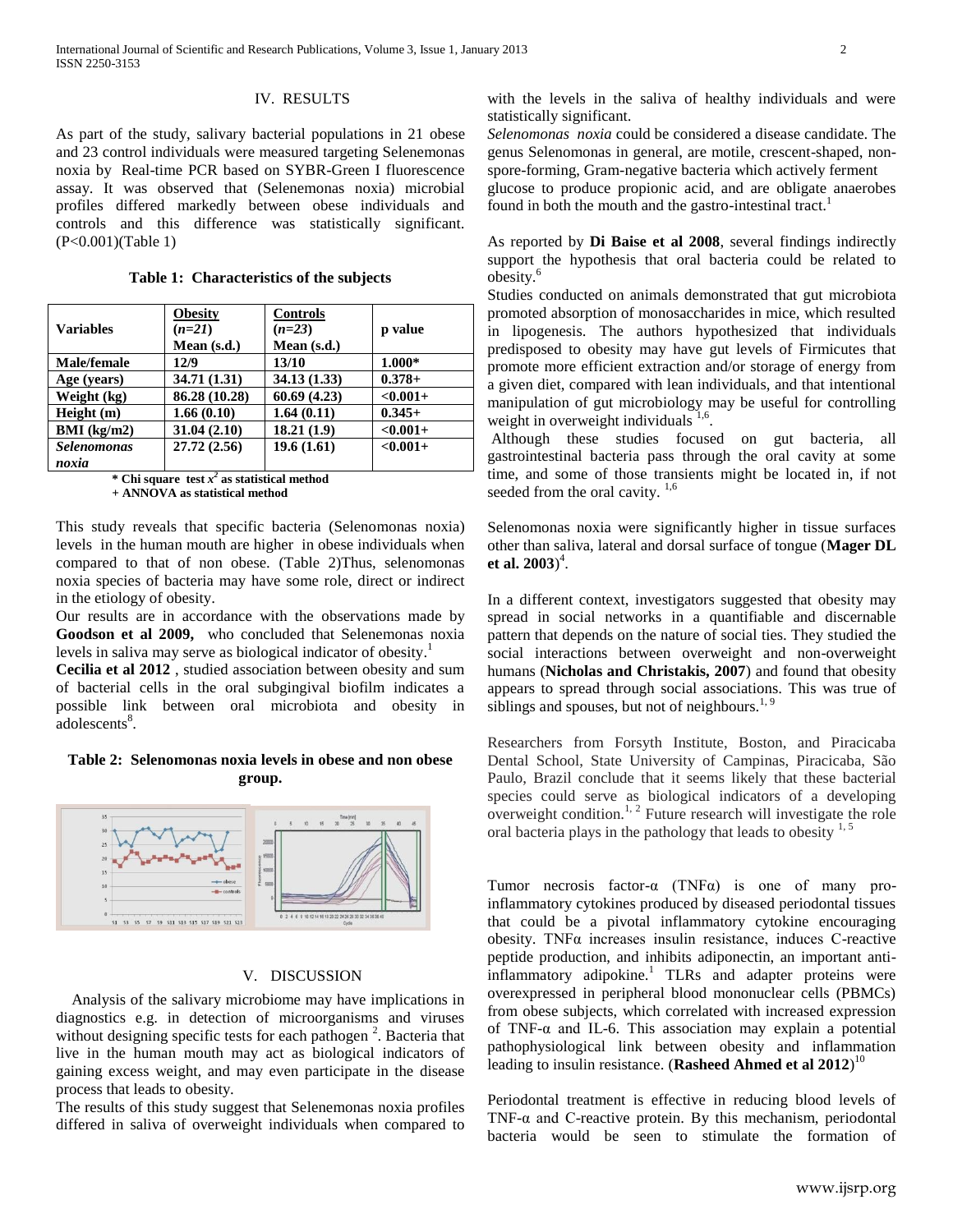## IV. RESULTS

As part of the study, salivary bacterial populations in 21 obese and 23 control individuals were measured targeting Selenemonas noxia by Real-time PCR based on SYBR-Green I fluorescence assay. It was observed that (Selenemonas noxia) microbial profiles differed markedly between obese individuals and controls and this difference was statistically significant. (P<0.001)(Table 1)

**Table 1: Characteristics of the subjects**

|                    | <b>Obesity</b> | <b>Controls</b> |             |
|--------------------|----------------|-----------------|-------------|
| <b>Variables</b>   | $(n=21)$       | $(n=23)$        | p value     |
|                    | Mean (s.d.)    | Mean (s.d.)     |             |
| <b>Male/female</b> | 12/9           | 13/10           | 1.000*      |
| Age (years)        | 34.71 (1.31)   | 34.13 (1.33)    | $0.378 +$   |
| Weight (kg)        | 86.28 (10.28)  | 60.69(4.23)     | $< 0.001 +$ |
| Height(m)          | 1.66(0.10)     | 1.64(0.11)      | $0.345+$    |
| BMI (kg/m2)        | 31.04(2.10)    | 18.21(1.9)      | $< 0.001 +$ |
| <b>Selenomonas</b> | 27.72(2.56)    | 19.6(1.61)      | $< 0.001 +$ |
| noxia              |                |                 |             |

**\* Chi square test** *x 2* **as statistical method + ANNOVA as statistical method**

This study reveals that specific bacteria (Selenomonas noxia) levels in the human mouth are higher in obese individuals when compared to that of non obese. (Table 2)Thus, selenomonas noxia species of bacteria may have some role, direct or indirect in the etiology of obesity.

Our results are in accordance with the observations made by **Goodson et al 2009,** who concluded that Selenemonas noxia levels in saliva may serve as biological indicator of obesity.<sup>1</sup>

**Cecilia et al 2012** , studied association between obesity and sum of bacterial cells in the oral subgingival biofilm indicates a possible link between oral microbiota and obesity in adolescents<sup>8</sup>.

## **Table 2: Selenomonas noxia levels in obese and non obese group.**



## V. DISCUSSION

 Analysis of the salivary microbiome may have implications in diagnostics e.g. in detection of microorganisms and viruses without designing specific tests for each pathogen<sup>2</sup>. Bacteria that live in the human mouth may act as biological indicators of gaining excess weight, and may even participate in the disease process that leads to obesity.

The results of this study suggest that Selenemonas noxia profiles differed in saliva of overweight individuals when compared to with the levels in the saliva of healthy individuals and were statistically significant.

*Selenomonas noxia* could be considered a disease candidate. The genus Selenomonas in general, are motile, crescent-shaped, nonspore-forming, Gram-negative bacteria which actively ferment glucose to produce propionic acid, and are obligate anaerobes found in both the mouth and the gastro-intestinal tract.<sup>1</sup>

As reported by **Di Baise et al 2008**, several findings indirectly support the hypothesis that oral bacteria could be related to obesity.<sup>6</sup>

Studies conducted on animals demonstrated that gut microbiota promoted absorption of monosaccharides in mice, which resulted in lipogenesis. The authors hypothesized that individuals predisposed to obesity may have gut levels of Firmicutes that promote more efficient extraction and/or storage of energy from a given diet, compared with lean individuals, and that intentional manipulation of gut microbiology may be useful for controlling weight in overweight individuals<sup>1,6</sup>.

Although these studies focused on gut bacteria, all gastrointestinal bacteria pass through the oral cavity at some time, and some of those transients might be located in, if not seeded from the oral cavity.<sup>1,6</sup>

Selenomonas noxia were significantly higher in tissue surfaces other than saliva, lateral and dorsal surface of tongue (**Mager DL et al. 2003**) 4 .

In a different context, investigators suggested that obesity may spread in social networks in a quantifiable and discernable pattern that depends on the nature of social ties. They studied the social interactions between overweight and non-overweight humans (**Nicholas and Christakis, 2007**) and found that obesity appears to spread through social associations. This was true of siblings and spouses, but not of neighbours.<sup>1, 9</sup>

Researchers from Forsyth Institute, Boston, and Piracicaba Dental School, State University of Campinas, Piracicaba, São Paulo, Brazil conclude that it seems likely that these bacterial species could serve as biological indicators of a developing overweight condition.<sup>1, 2</sup> Future research will investigate the role oral bacteria plays in the pathology that leads to obesity  $1, 5$ 

Tumor necrosis factor-α (TNFα) is one of many proinflammatory cytokines produced by diseased periodontal tissues that could be a pivotal inflammatory cytokine encouraging obesity. TNFα increases insulin resistance, induces C-reactive peptide production, and inhibits adiponectin, an important antiinflammatory adipokine.<sup>1</sup> TLRs and adapter proteins were overexpressed in peripheral blood mononuclear cells (PBMCs) from obese subjects, which correlated with increased expression of TNF-α and IL-6. This association may explain a potential pathophysiological link between obesity and inflammation leading to insulin resistance. (**Rasheed Ahmed et al 2012**) 10

Periodontal treatment is effective in reducing blood levels of TNF- $\alpha$  and C-reactive protein. By this mechanism, periodontal bacteria would be seen to stimulate the formation of